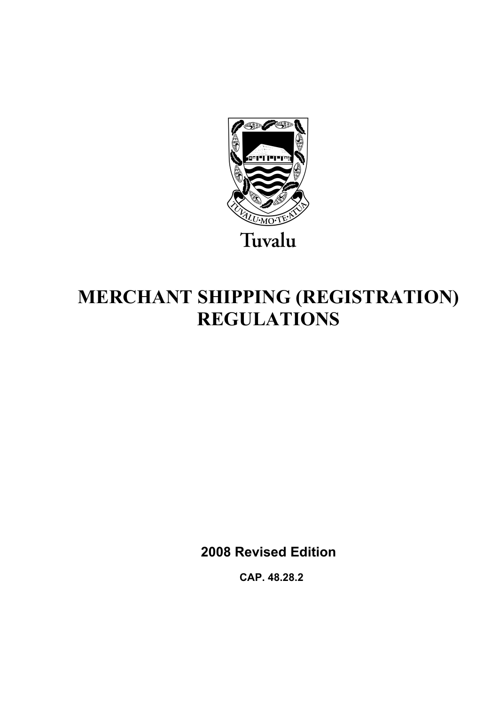

# **MERCHANT SHIPPING (REGISTRATION) REGULATIONS**

**2008 Revised Edition** 

 **CAP. 48.28.2**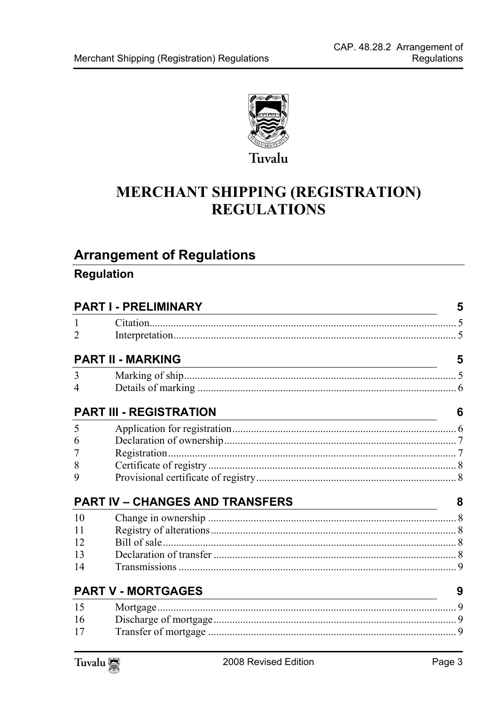

## **MERCHANT SHIPPING (REGISTRATION) REGULATIONS**

## **Arrangement of Regulations**

### Regulation

| <b>PART I - PRELIMINARY</b> |                                                                                           |                                                                                                                             |
|-----------------------------|-------------------------------------------------------------------------------------------|-----------------------------------------------------------------------------------------------------------------------------|
|                             |                                                                                           |                                                                                                                             |
| $\overline{2}$              |                                                                                           |                                                                                                                             |
|                             | <b>PART II - MARKING</b>                                                                  | 5                                                                                                                           |
| 3                           |                                                                                           |                                                                                                                             |
| 4                           |                                                                                           |                                                                                                                             |
|                             | <b>PART III - REGISTRATION</b>                                                            | 6                                                                                                                           |
| 5                           |                                                                                           |                                                                                                                             |
| 6                           |                                                                                           |                                                                                                                             |
| 7                           |                                                                                           |                                                                                                                             |
| 8                           |                                                                                           |                                                                                                                             |
| 9                           |                                                                                           |                                                                                                                             |
|                             | <b>PART IV - CHANGES AND TRANSFERS</b>                                                    | 8<br><u> 1989 - Johann Barn, mars ann an t-Amhain ann an t-Amhain an t-Amhain an t-Amhain an t-Amhain an t-Amhain an t-</u> |
| 10                          |                                                                                           |                                                                                                                             |
| 11                          |                                                                                           |                                                                                                                             |
| 12                          |                                                                                           |                                                                                                                             |
| 13                          |                                                                                           |                                                                                                                             |
| 14                          |                                                                                           |                                                                                                                             |
|                             | <b>PART V - MORTGAGES</b><br><u> 1989 - Johann Stein, mars an de Britannich (b. 1989)</u> | 9                                                                                                                           |
| 15                          |                                                                                           |                                                                                                                             |
| 16                          |                                                                                           |                                                                                                                             |
| 17                          |                                                                                           |                                                                                                                             |
|                             |                                                                                           |                                                                                                                             |

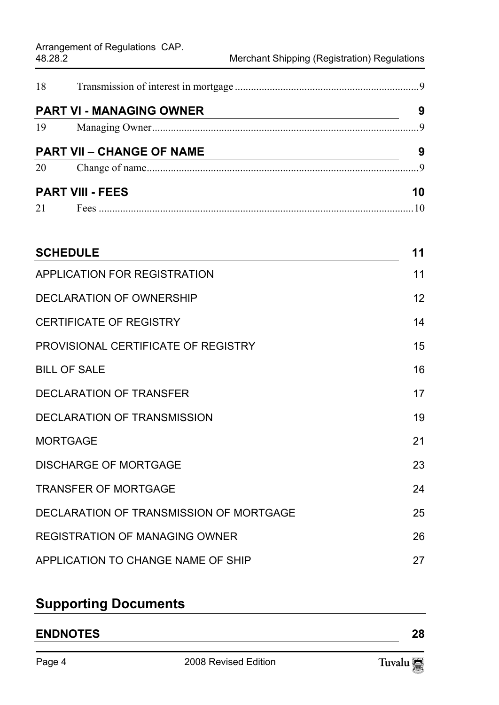| <b>PART VI - MANAGING OWNER</b>  | 9  |
|----------------------------------|----|
|                                  |    |
| <b>PART VII - CHANGE OF NAME</b> | 9  |
|                                  |    |
| <b>PART VIII - FEES</b>          | 10 |
|                                  |    |

| <b>SCHEDULE</b>                         | 11 |
|-----------------------------------------|----|
| <b>APPLICATION FOR REGISTRATION</b>     | 11 |
| DECLARATION OF OWNERSHIP                | 12 |
| <b>CERTIFICATE OF REGISTRY</b>          | 14 |
| PROVISIONAL CERTIFICATE OF REGISTRY     | 15 |
| <b>BILL OF SALE</b>                     | 16 |
| <b>DECLARATION OF TRANSFER</b>          | 17 |
| <b>DECLARATION OF TRANSMISSION</b>      | 19 |
| <b>MORTGAGE</b>                         | 21 |
| <b>DISCHARGE OF MORTGAGE</b>            | 23 |
| <b>TRANSFER OF MORTGAGE</b>             | 24 |
| DECLARATION OF TRANSMISSION OF MORTGAGE | 25 |
| <b>REGISTRATION OF MANAGING OWNER</b>   | 26 |
| APPLICATION TO CHANGE NAME OF SHIP      | 27 |

## **Supporting Documents**

## **ENDNOTES 28**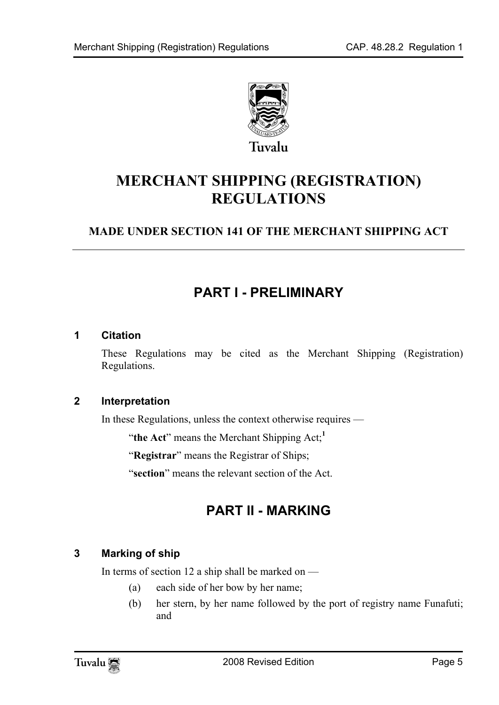

<span id="page-4-0"></span>Tuvalu

## **MERCHANT SHIPPING (REGISTRATION) REGULATIONS**

### **MADE UNDER SECTION 141 OF THE MERCHANT SHIPPING ACT**

## <span id="page-4-1"></span>**PART I - PRELIMINARY**

#### **1 Citation**

<span id="page-4-2"></span>These Regulations may be cited as the Merchant Shipping (Registration) Regulations.

#### **2 Interpretation**

In these Regulations, unless the context otherwise requires —

"**the Act**" means the Merchant Shipping Act;**<sup>1</sup>**

"**Registrar**" means the Registrar of Ships;

<span id="page-4-4"></span>"**section**" means the relevant section of the Act.

## <span id="page-4-3"></span>**PART II - MARKING**

#### **3 Marking of ship**

In terms of section 12 a ship shall be marked on  $-$ 

- (a) each side of her bow by her name;
- (b) her stern, by her name followed by the port of registry name Funafuti; and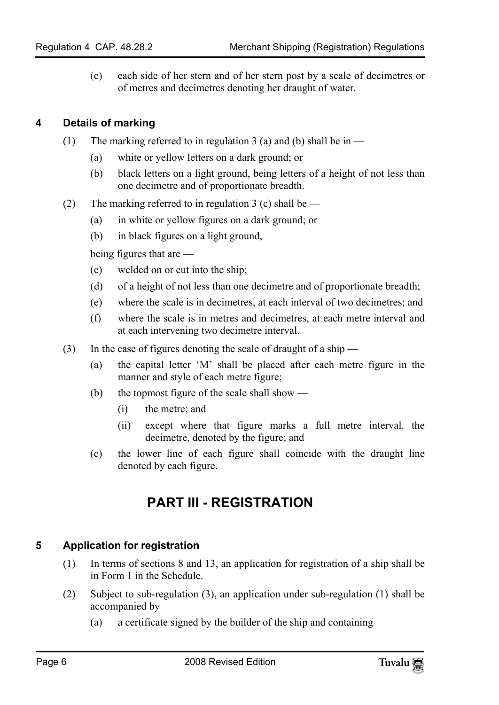<span id="page-5-0"></span>(c) each side of her stern and of her stern post by a scale of decimetres or of metres and decimetres denoting her draught of water.

#### **4 Details of marking**

- (1) The marking referred to in regulation 3 (a) and (b) shall be in  $-$ 
	- (a) white or yellow letters on a dark ground; or
	- (b) black letters on a light ground, being letters of a height of not less than one decimetre and of proportionate breadth.
- (2) The marking referred to in regulation 3 (c) shall be  $-$ 
	- (a) in white or yellow figures on a dark ground; or
	- (b) in black figures on a light ground,

being figures that are —

- (c) welded on or cut into the ship;
- (d) of a height of not less than one decimetre and of proportionate breadth;
- (e) where the scale is in decimetres, at each interval of two decimetres; and
- (f) where the scale is in metres and decimetres, at each metre interval and at each intervening two decimetre interval.
- (3) In the case of figures denoting the scale of draught of a ship
	- (a) the capital letter 'M' shall be placed after each metre figure in the manner and style of each metre figure;
	- (b) the topmost figure of the scale shall show
		- (i) the metre; and
		- (ii) except where that figure marks a full metre interval. the decimetre, denoted by the figure; and
	- (c) the lower line of each figure shall coincide with the draught line denoted by each figure.

## <span id="page-5-2"></span><span id="page-5-1"></span>**PART III - REGISTRATION**

#### **5 Application for registration**

- (1) In terms of sections 8 and 13, an application for registration of a ship shall be in Form 1 in the Schedule.
- (2) Subject to sub-regulation (3), an application under sub-regulation (1) shall be accompanied by —
	- (a) a certificate signed by the builder of the ship and containing —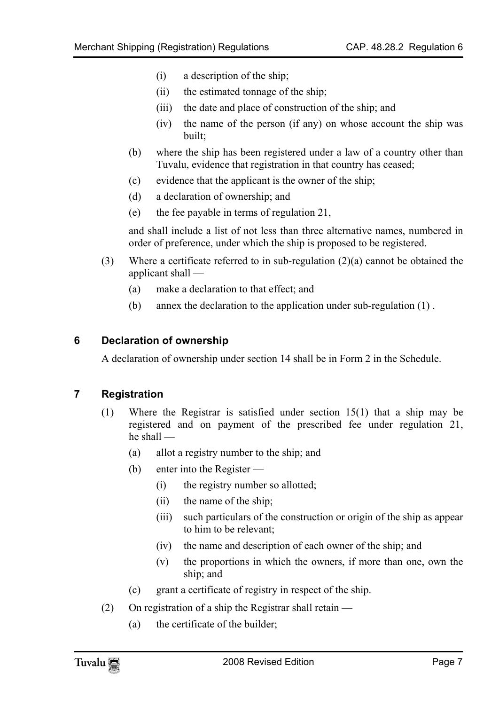- (i) a description of the ship;
- (ii) the estimated tonnage of the ship;
- (iii) the date and place of construction of the ship; and
- (iv) the name of the person (if any) on whose account the ship was built;
- (b) where the ship has been registered under a law of a country other than Tuvalu, evidence that registration in that country has ceased;
- (c) evidence that the applicant is the owner of the ship;
- (d) a declaration of ownership; and
- (e) the fee payable in terms of regulation 21,

and shall include a list of not less than three alternative names, numbered in order of preference, under which the ship is proposed to be registered.

- <span id="page-6-0"></span>(3) Where a certificate referred to in sub-regulation  $(2)(a)$  cannot be obtained the applicant shall —
	- (a) make a declaration to that effect; and
	- (b) annex the declaration to the application under sub-regulation (1) .

#### **6 Declaration of ownership**

<span id="page-6-1"></span>A declaration of ownership under section 14 shall be in Form 2 in the Schedule.

#### **7 Registration**

- (1) Where the Registrar is satisfied under section 15(1) that a ship may be registered and on payment of the prescribed fee under regulation 21, he shall —
	- (a) allot a registry number to the ship; and
	- (b) enter into the Register
		- (i) the registry number so allotted;
		- (ii) the name of the ship;
		- (iii) such particulars of the construction or origin of the ship as appear to him to be relevant;
		- (iv) the name and description of each owner of the ship; and
		- (v) the proportions in which the owners, if more than one, own the ship; and
	- (c) grant a certificate of registry in respect of the ship.
- (2) On registration of a ship the Registrar shall retain
	- (a) the certificate of the builder;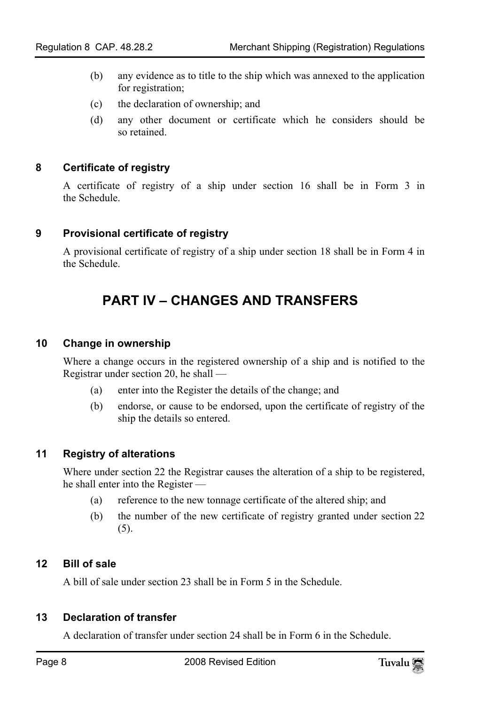- (b) any evidence as to title to the ship which was annexed to the application for registration;
- <span id="page-7-0"></span>(c) the declaration of ownership; and
- (d) any other document or certificate which he considers should be so retained.

#### **8 Certificate of registry**

<span id="page-7-1"></span>A certificate of registry of a ship under section 16 shall be in Form 3 in the Schedule.

#### **9 Provisional certificate of registry**

A provisional certificate of registry of a ship under section 18 shall be in Form 4 in the Schedule.

## <span id="page-7-3"></span><span id="page-7-2"></span>**PART IV – CHANGES AND TRANSFERS**

#### **10 Change in ownership**

Where a change occurs in the registered ownership of a ship and is notified to the Registrar under section 20, he shall —

- <span id="page-7-4"></span>(a) enter into the Register the details of the change; and
- (b) endorse, or cause to be endorsed, upon the certificate of registry of the ship the details so entered.

#### **11 Registry of alterations**

Where under section 22 the Registrar causes the alteration of a ship to be registered, he shall enter into the Register —

- <span id="page-7-5"></span>(a) reference to the new tonnage certificate of the altered ship; and
- <span id="page-7-6"></span>(b) the number of the new certificate of registry granted under section 22 (5).

#### **12 Bill of sale**

A bill of sale under section 23 shall be in Form 5 in the Schedule.

#### **13 Declaration of transfer**

A declaration of transfer under section 24 shall be in Form 6 in the Schedule.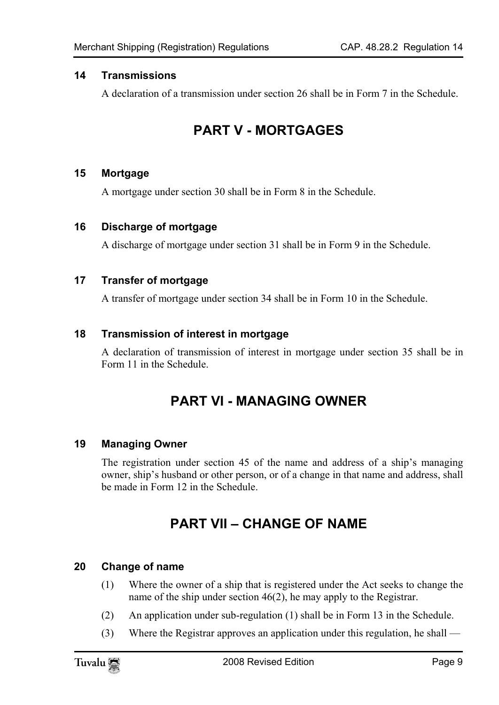#### <span id="page-8-0"></span>**14 Transmissions**

<span id="page-8-2"></span>A declaration of a transmission under section 26 shall be in Form 7 in the Schedule.

## <span id="page-8-1"></span>**PART V - MORTGAGES**

#### **15 Mortgage**

<span id="page-8-4"></span><span id="page-8-3"></span>A mortgage under section 30 shall be in Form 8 in the Schedule.

#### **16 Discharge of mortgage**

A discharge of mortgage under section 31 shall be in Form 9 in the Schedule.

#### **17 Transfer of mortgage**

A transfer of mortgage under section 34 shall be in Form 10 in the Schedule.

#### **18 Transmission of interest in mortgage**

A declaration of transmission of interest in mortgage under section 35 shall be in Form 11 in the Schedule.

## <span id="page-8-7"></span><span id="page-8-6"></span><span id="page-8-5"></span>**PART VI - MANAGING OWNER**

#### **19 Managing Owner**

The registration under section 45 of the name and address of a ship's managing owner, ship's husband or other person, or of a change in that name and address, shall be made in Form 12 in the Schedule.

## <span id="page-8-8"></span>**PART VII – CHANGE OF NAME**

#### **20 Change of name**

- (1) Where the owner of a ship that is registered under the Act seeks to change the name of the ship under section 46(2), he may apply to the Registrar.
- (2) An application under sub-regulation (1) shall be in Form 13 in the Schedule.
- (3) Where the Registrar approves an application under this regulation, he shall —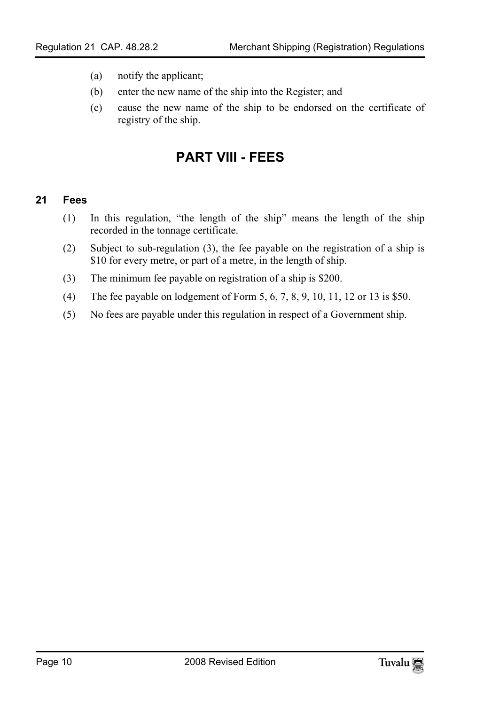- (a) notify the applicant;
- (b) enter the new name of the ship into the Register; and
- <span id="page-9-1"></span>(c) cause the new name of the ship to be endorsed on the certificate of registry of the ship.

## <span id="page-9-0"></span>**PART VIII - FEES**

#### **21 Fees**

- (1) In this regulation, "the length of the ship" means the length of the ship recorded in the tonnage certificate.
- (2) Subject to sub-regulation (3), the fee payable on the registration of a ship is \$10 for every metre, or part of a metre, in the length of ship.
- (3) The minimum fee payable on registration of a ship is \$200.
- (4) The fee payable on lodgement of Form 5, 6, 7, 8, 9, 10, 11, 12 or 13 is \$50.
- (5) No fees are payable under this regulation in respect of a Government ship.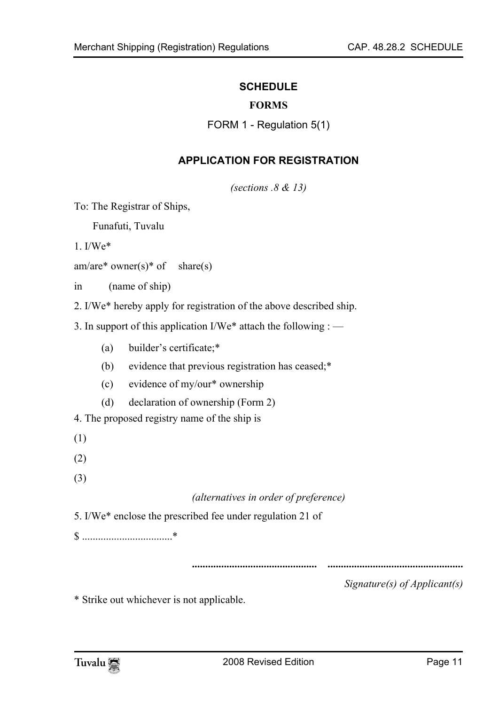#### <span id="page-10-0"></span>**SCHEDULE**

#### <span id="page-10-1"></span>**FORMS**

FORM 1 - Regulation 5(1)

#### **APPLICATION FOR REGISTRATION**

*(sections .8 & 13)* 

To: The Registrar of Ships,

Funafuti, Tuvalu

1. I/We\*

am/are\* owner(s)\* of share(s)

in (name of ship)

2. I/We\* hereby apply for registration of the above described ship.

3. In support of this application I/We\* attach the following : —

- (a) builder's certificate;\*
- (b) evidence that previous registration has ceased;\*
- (c) evidence of my/our\* ownership
- (d) declaration of ownership (Form 2)

4. The proposed registry name of the ship is

- (1)
- (2)
- (3)

#### *(alternatives in order of preference)*

5. I/We\* enclose the prescribed fee under regulation 21 of

\$ ..................................\*

**............................................... ...................................................** 

*Signature(s) of Applicant(s)*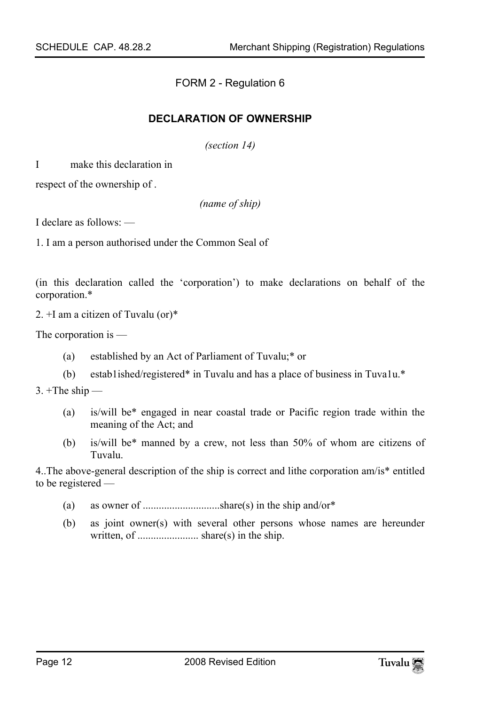FORM 2 - Regulation 6

#### **DECLARATION OF OWNERSHIP**

*(section 14)* 

I make this declaration in

respect of the ownership of .

*(name of ship)* 

I declare as follows: —

1. I am a person authorised under the Common Seal of

(in this declaration called the 'corporation') to make declarations on behalf of the corporation.\*

2. +I am a citizen of Tuvalu (or)\*

The corporation is —

- (a) established by an Act of Parliament of Tuvalu;\* or
- (b) estab1ished/registered\* in Tuvalu and has a place of business in Tuva1u.\*

 $3. +$ The ship —

- (a) is/will be\* engaged in near coastal trade or Pacific region trade within the meaning of the Act; and
- (b) is/will be\* manned by a crew, not less than 50% of whom are citizens of Tuvalu.

4..The above-general description of the ship is correct and lithe corporation am/is\* entitled to be registered —

- (a) as owner of .............................share(s) in the ship and/or\*
- (b) as joint owner(s) with several other persons whose names are hereunder written, of ....................... share(s) in the ship.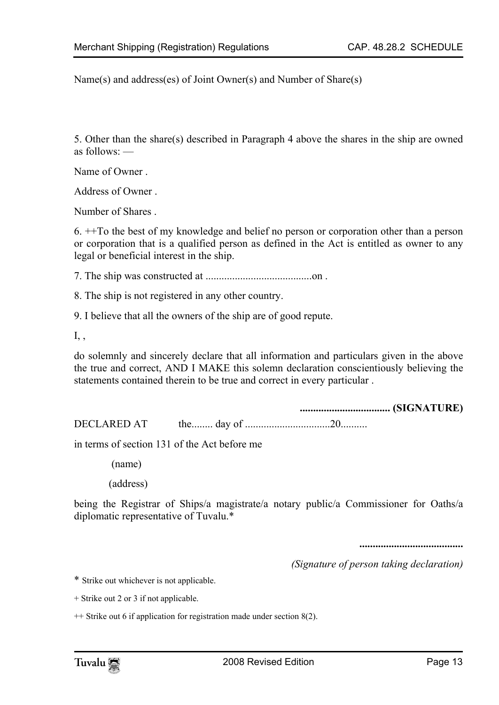Name(s) and address(es) of Joint Owner(s) and Number of Share(s)

5. Other than the share(s) described in Paragraph 4 above the shares in the ship are owned as follows: —

Name of Owner .

Address of Owner .

Number of Shares .

6. ++To the best of my knowledge and belief no person or corporation other than a person or corporation that is a qualified person as defined in the Act is entitled as owner to any legal or beneficial interest in the ship.

7. The ship was constructed at ........................................on .

8. The ship is not registered in any other country.

9. I believe that all the owners of the ship are of good repute.

I, ,

do solemnly and sincerely declare that all information and particulars given in the above the true and correct, AND I MAKE this solemn declaration conscientiously believing the statements contained therein to be true and correct in every particular .

**.................................. (SIGNATURE)** 

DECLARED AT the........ day of ................................20..........

in terms of section 131 of the Act before me

(name)

(address)

being the Registrar of Ships/a magistrate/a notary public/a Commissioner for Oaths/a diplomatic representative of Tuvalu.\*

**.......................................** 

*(Signature of person taking declaration)* 

\* Strike out whichever is not applicable.

+ Strike out 2 or 3 if not applicable.

++ Strike out 6 if application for registration made under section 8(2).

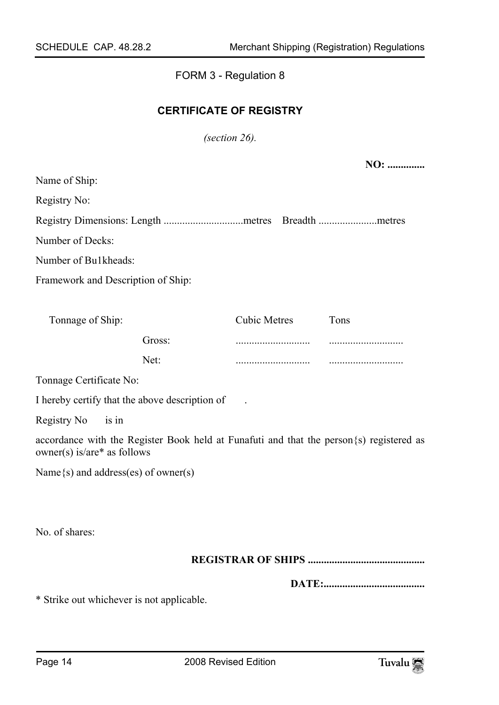### <span id="page-13-0"></span>FORM 3 - Regulation 8

#### **CERTIFICATE OF REGISTRY**

*(section 26).* 

**NO: ..............** 

| Name of Ship:                             |                                                                                          |                     |      |  |
|-------------------------------------------|------------------------------------------------------------------------------------------|---------------------|------|--|
| Registry No:                              |                                                                                          |                     |      |  |
|                                           | Registry Dimensions: Length metres Breadth metres                                        |                     |      |  |
| Number of Decks:                          |                                                                                          |                     |      |  |
| Number of Bu1kheads:                      |                                                                                          |                     |      |  |
| Framework and Description of Ship:        |                                                                                          |                     |      |  |
|                                           |                                                                                          |                     |      |  |
| Tonnage of Ship:                          |                                                                                          | <b>Cubic Metres</b> | Tons |  |
|                                           | Gross:                                                                                   |                     |      |  |
|                                           | Net:                                                                                     |                     |      |  |
| Tonnage Certificate No:                   |                                                                                          |                     |      |  |
|                                           | I hereby certify that the above description of                                           |                     |      |  |
| Registry No<br>is in                      |                                                                                          |                     |      |  |
| owner(s) is/are* as follows               | accordance with the Register Book held at Funafuti and that the person {s} registered as |                     |      |  |
| Name $\{s\}$ and address(es) of owner(s)  |                                                                                          |                     |      |  |
|                                           |                                                                                          |                     |      |  |
|                                           |                                                                                          |                     |      |  |
| No. of shares:                            |                                                                                          |                     |      |  |
|                                           |                                                                                          |                     |      |  |
|                                           |                                                                                          |                     |      |  |
| * Strike out whichever is not applicable. |                                                                                          |                     |      |  |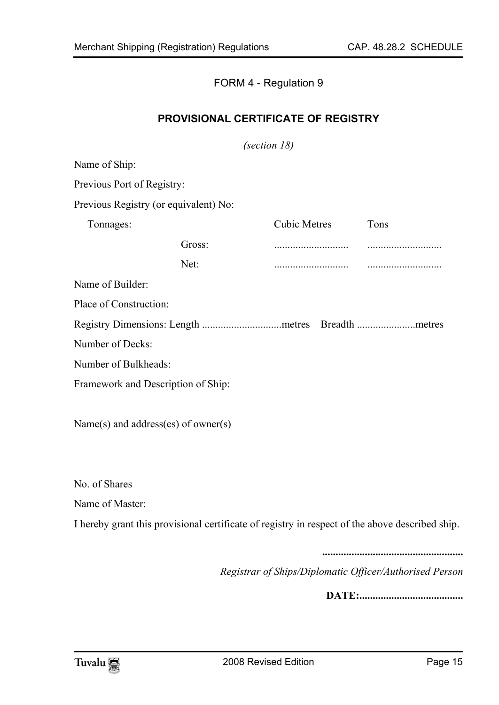#### <span id="page-14-0"></span>FORM 4 - Regulation 9

#### **PROVISIONAL CERTIFICATE OF REGISTRY**

*(section 18)* 

Name of Ship: Previous Port of Registry: Previous Registry (or equivalent) No: Cubic Metres Tons Gross: ............................ ............................ Tonnages: Net: ............................ ............................ Name of Builder: Place of Construction: Registry Dimensions: Length ..............................metres Breadth ......................metres Number of Decks: Number of Bulkheads: Framework and Description of Ship:

Name(s) and address(es) of owner(s)

No. of Shares

Name of Master:

I hereby grant this provisional certificate of registry in respect of the above described ship.

**.....................................................** 

*Registrar of Ships/Diplomatic Officer/Authorised Person* 

**DATE:.......................................**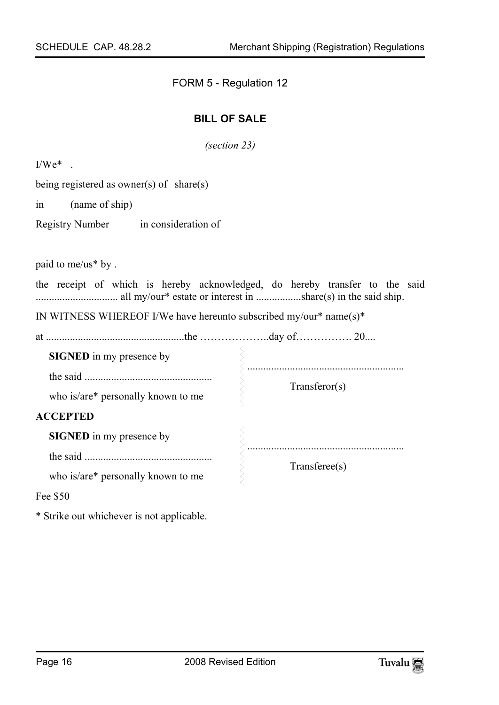FORM 5 - Regulation 12

#### <span id="page-15-0"></span>**BILL OF SALE**

*(section 23)* 

 $I/We^*$ 

being registered as owner(s) of share(s)

in (name of ship)

Registry Number in consideration of

paid to me/us\* by .

the receipt of which is hereby acknowledged, do hereby transfer to the said ............................... all my/our\* estate or interest in .................share(s) in the said ship.

IN WITNESS WHEREOF I/We have hereunto subscribed my/our\* name(s)\*

at ....................................................the ………………..day of……………. 20....

**SIGNED** in my presence by the said ................................................ who is/are\* personally known to me ........................................................... Transferor(s) **ACCEPTED SIGNED** in my presence by the said ................................................ ........................................................... Transferee(s)

who is/are\* personally known to me

Fee \$50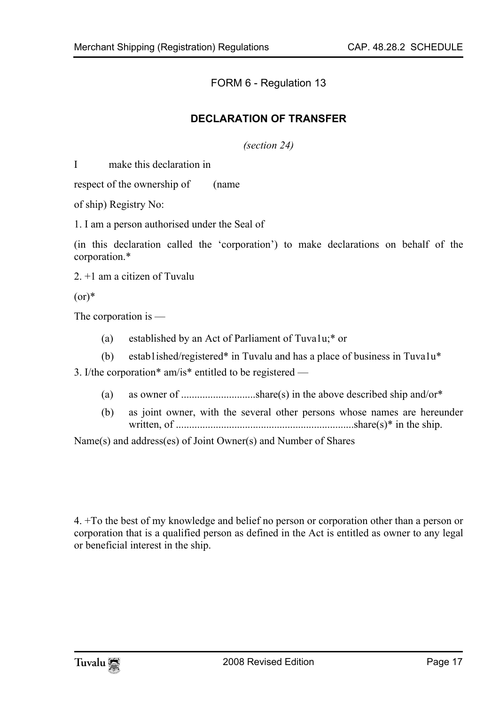<span id="page-16-0"></span>FORM 6 - Regulation 13

#### **DECLARATION OF TRANSFER**

*(section 24)* 

I make this declaration in

respect of the ownership of (name

of ship) Registry No:

1. I am a person authorised under the Seal of

(in this declaration called the 'corporation') to make declarations on behalf of the corporation.\*

2. +1 am a citizen of Tuvalu

 $(or)*$ 

The corporation is —

- (a) established by an Act of Parliament of Tuva1u;\* or
- (b) estab1ished/registered\* in Tuvalu and has a place of business in Tuva1u\*

3. I/the corporation\* am/is\* entitled to be registered —

- (a) as owner of ............................share(s) in the above described ship and/or\*
- (b) as joint owner, with the several other persons whose names are hereunder written, of ...................................................................share(s)\* in the ship.

Name(s) and address(es) of Joint Owner(s) and Number of Shares

4. +To the best of my knowledge and belief no person or corporation other than a person or corporation that is a qualified person as defined in the Act is entitled as owner to any legal or beneficial interest in the ship.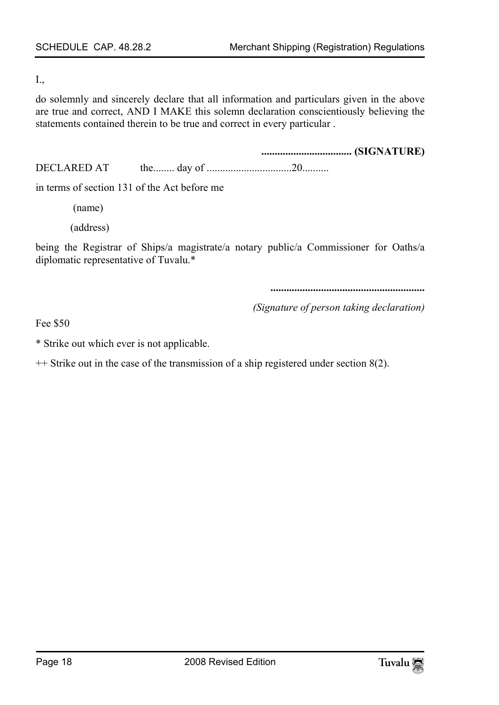#### I.,

do solemnly and sincerely declare that all information and particulars given in the above are true and correct, AND I MAKE this solemn declaration conscientiously believing the statements contained therein to be true and correct in every particular .

**.................................. (SIGNATURE)**  DECLARED AT the........ day of ................................20..........

in terms of section 131 of the Act before me

(name)

(address)

being the Registrar of Ships/a magistrate/a notary public/a Commissioner for Oaths/a diplomatic representative of Tuvalu.\*

**..........................................................** 

*(Signature of person taking declaration)* 

Fee \$50

\* Strike out which ever is not applicable.

++ Strike out in the case of the transmission of a ship registered under section 8(2).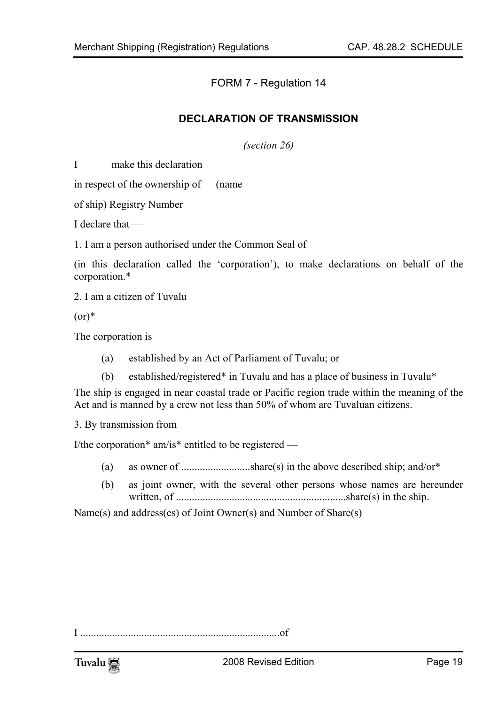<span id="page-18-0"></span>FORM 7 - Regulation 14

#### **DECLARATION OF TRANSMISSION**

*(section 26)* 

I make this declaration

in respect of the ownership of (name

of ship) Registry Number

I declare that —

1. I am a person authorised under the Common Seal of

(in this declaration called the 'corporation'), to make declarations on behalf of the corporation.\*

2. I am a citizen of Tuvalu

 $(0r)^*$ 

The corporation is

- (a) established by an Act of Parliament of Tuvalu; or
- (b) established/registered\* in Tuvalu and has a place of business in Tuvalu\*

The ship is engaged in near coastal trade or Pacific region trade within the meaning of the Act and is manned by a crew not less than 50% of whom are Tuvaluan citizens.

3. By transmission from

I/the corporation\* am/is\* entitled to be registered —

- (a) as owner of  $\dots$  such that  $\text{share}(s)$  in the above described ship; and/or<sup>\*</sup>
- (b) as joint owner, with the several other persons whose names are hereunder written, of ................................................................share(s) in the ship.

Name(s) and address(es) of Joint Owner(s) and Number of Share(s)

I ...........................................................................of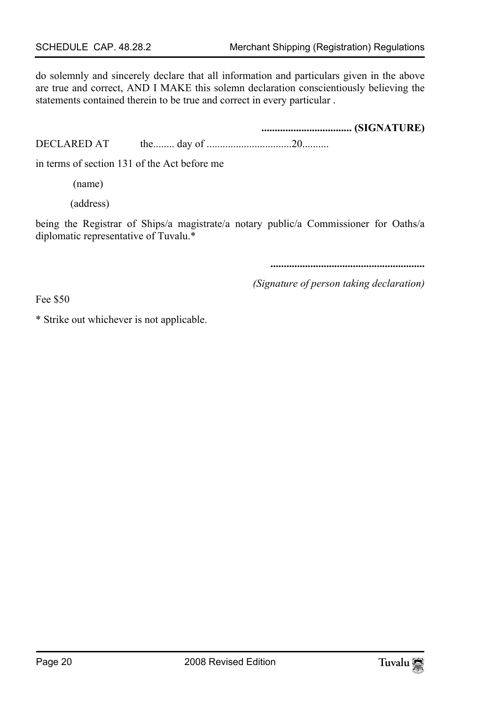do solemnly and sincerely declare that all information and particulars given in the above are true and correct, AND I MAKE this solemn declaration conscientiously believing the statements contained therein to be true and correct in every particular .

**.................................. (SIGNATURE)**  DECLARED AT the........ day of ................................20..........

in terms of section 131 of the Act before me

(name)

(address)

being the Registrar of Ships/a magistrate/a notary public/a Commissioner for Oaths/a diplomatic representative of Tuvalu.\*

**..........................................................** 

*(Signature of person taking declaration)* 

Fee \$50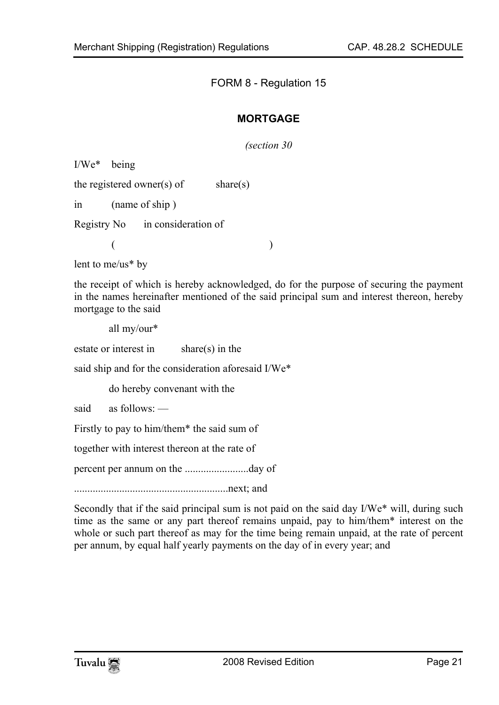#### FORM 8 - Regulation 15

#### <span id="page-20-0"></span>**MORTGAGE**

*(section 30* 

I/We\* being

the registered owner(s) of share(s)

in (name of ship )

Registry No in consideration of

 $($ 

lent to me/us\* by

the receipt of which is hereby acknowledged, do for the purpose of securing the payment in the names hereinafter mentioned of the said principal sum and interest thereon, hereby mortgage to the said

all my/our\*

estate or interest in share(s) in the

said ship and for the consideration aforesaid I/We\*

do hereby convenant with the

said as follows: —

Firstly to pay to him/them\* the said sum of

together with interest thereon at the rate of

percent per annum on the ........................day of

..........................................................next; and

Secondly that if the said principal sum is not paid on the said day I/We\* will, during such time as the same or any part thereof remains unpaid, pay to him/them\* interest on the whole or such part thereof as may for the time being remain unpaid, at the rate of percent per annum, by equal half yearly payments on the day of in every year; and

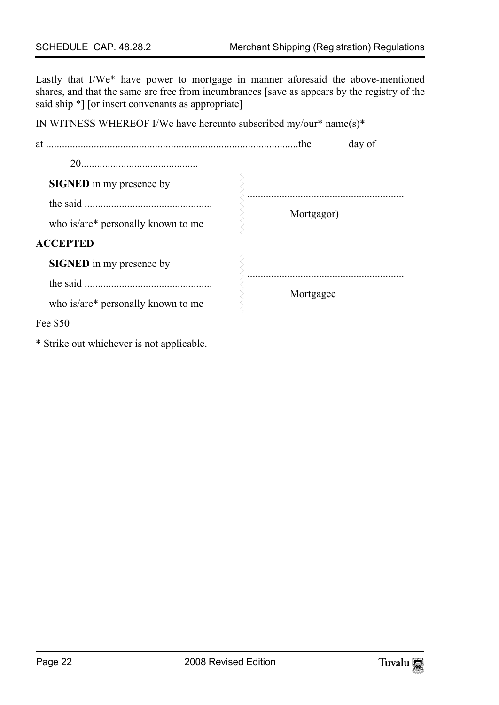Lastly that I/We\* have power to mortgage in manner aforesaid the above-mentioned shares, and that the same are free from incumbrances [save as appears by the registry of the said ship  $*$ ] [or insert convenants as appropriate]

| IN WITNESS WHEREOF I/We have hereunto subscribed $my/our* name(s)*$ |            |        |
|---------------------------------------------------------------------|------------|--------|
|                                                                     |            | day of |
|                                                                     |            |        |
| <b>SIGNED</b> in my presence by                                     |            |        |
|                                                                     |            |        |
| who is/are* personally known to me                                  | Mortgagor) |        |
| <b>ACCEPTED</b>                                                     |            |        |
| <b>SIGNED</b> in my presence by                                     |            |        |
|                                                                     | Mortgagee  |        |
| who is/are* personally known to me                                  |            |        |
| Fee \$50                                                            |            |        |
|                                                                     |            |        |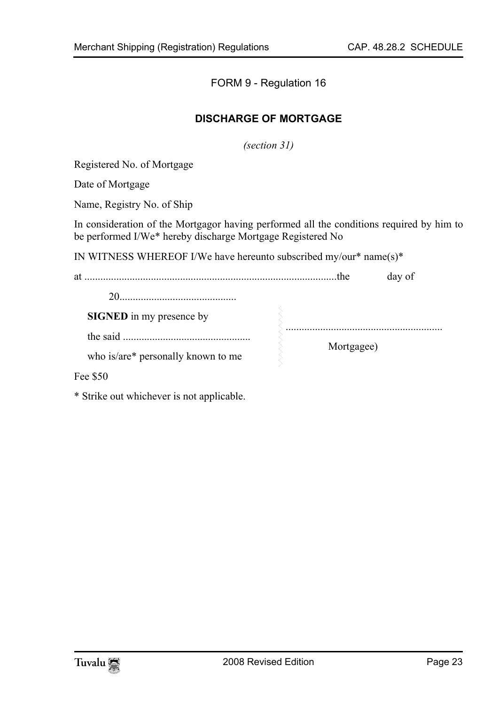#### <span id="page-22-0"></span>FORM 9 - Regulation 16

#### **DISCHARGE OF MORTGAGE**

*(section 31)* 

Registered No. of Mortgage

Date of Mortgage

Name, Registry No. of Ship

In consideration of the Mortgagor having performed all the conditions required by him to be performed I/We\* hereby discharge Mortgage Registered No

IN WITNESS WHEREOF I/We have hereunto subscribed my/our\* name(s)\*

at ...............................................................................................the day of

| <b>SIGNED</b> in my presence by    |            |
|------------------------------------|------------|
| the said                           |            |
| who is/are* personally known to me | Mortgagee) |

Fee \$50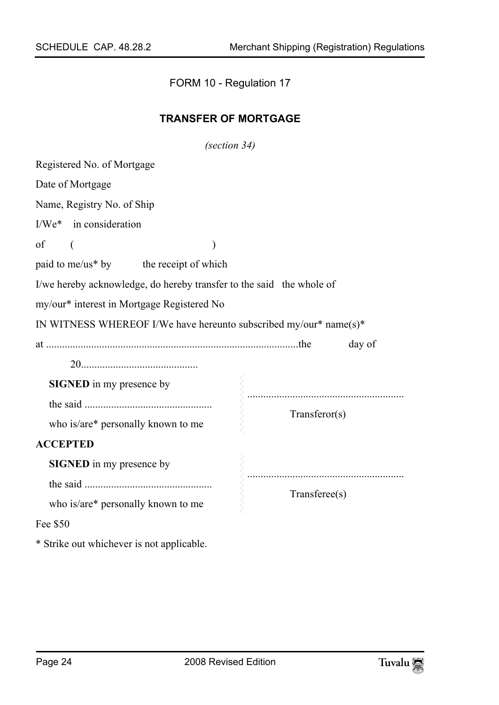<span id="page-23-0"></span>FORM 10 - Regulation 17

#### **TRANSFER OF MORTGAGE**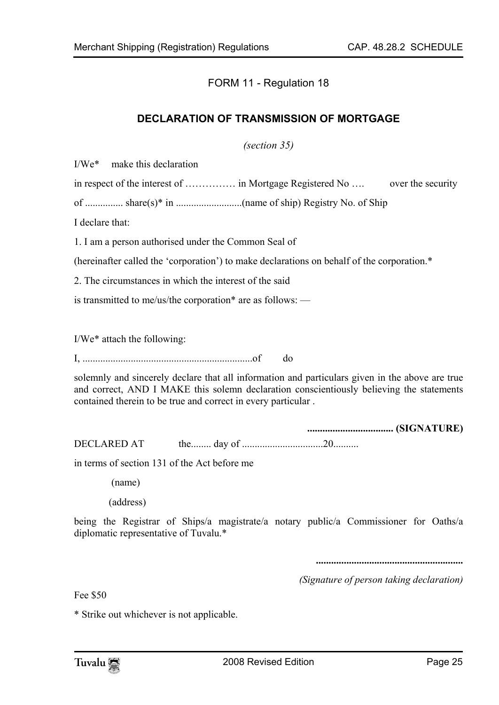<span id="page-24-0"></span>FORM 11 - Regulation 18

#### **DECLARATION OF TRANSMISSION OF MORTGAGE**

*(section 35)* 

I/We\* make this declaration

in respect of the interest of ................ in Mortgage Registered No .... over the security

of ............... share(s)\* in ..........................(name of ship) Registry No. of Ship

I declare that:

1. I am a person authorised under the Common Seal of

(hereinafter called the 'corporation') to make declarations on behalf of the corporation.\*

2. The circumstances in which the interest of the said

is transmitted to me/us/the corporation\* are as follows: —

I/We\* attach the following:

I, ...................................................................of do

solemnly and sincerely declare that all information and particulars given in the above are true and correct, AND I MAKE this solemn declaration conscientiously believing the statements contained therein to be true and correct in every particular .

**.................................. (SIGNATURE)**  DECLARED AT the........ day of ................................20..........

in terms of section 131 of the Act before me

(name)

(address)

being the Registrar of Ships/a magistrate/a notary public/a Commissioner for Oaths/a diplomatic representative of Tuvalu.\*

**..........................................................** 

*(Signature of person taking declaration)* 

Fee \$50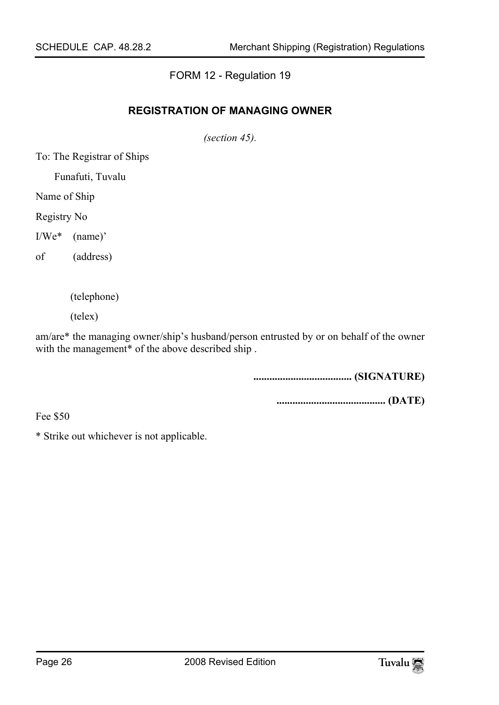#### <span id="page-25-0"></span>FORM 12 - Regulation 19

#### **REGISTRATION OF MANAGING OWNER**

*(section 45).* 

To: The Registrar of Ships

Funafuti, Tuvalu

Name of Ship

Registry No

I/We\* (name)'

of (address)

(telephone)

(telex)

am/are\* the managing owner/ship's husband/person entrusted by or on behalf of the owner with the management<sup>\*</sup> of the above described ship.

**..................................... (SIGNATURE)** 

**......................................... (DATE)** 

Fee \$50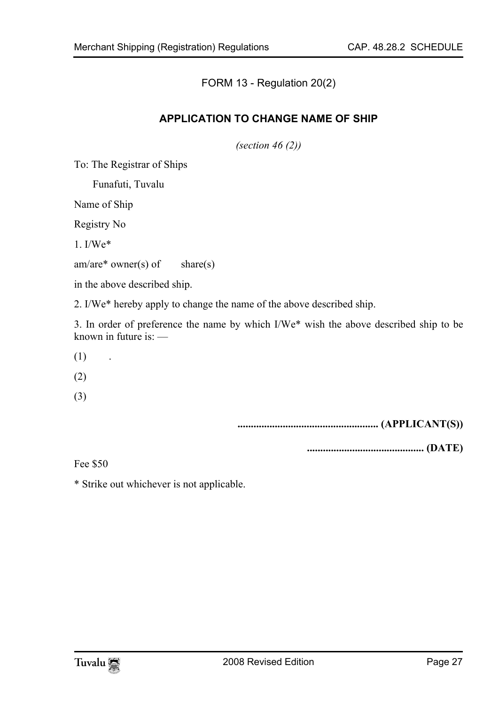<span id="page-26-0"></span>FORM 13 - Regulation 20(2)

#### **APPLICATION TO CHANGE NAME OF SHIP**

*(section 46 (2))* 

To: The Registrar of Ships

Funafuti, Tuvalu

Name of Ship

Registry No

1. I/We\*

 $am/are^*$  owner(s) of share(s)

in the above described ship.

2. I/We\* hereby apply to change the name of the above described ship.

3. In order of preference the name by which I/We\* wish the above described ship to be known in future is: —

- $(1)$  .
- (2)
- (3)

**..................................................... (APPLICANT(S))** 

**............................................ (DATE)** 

Fee \$50